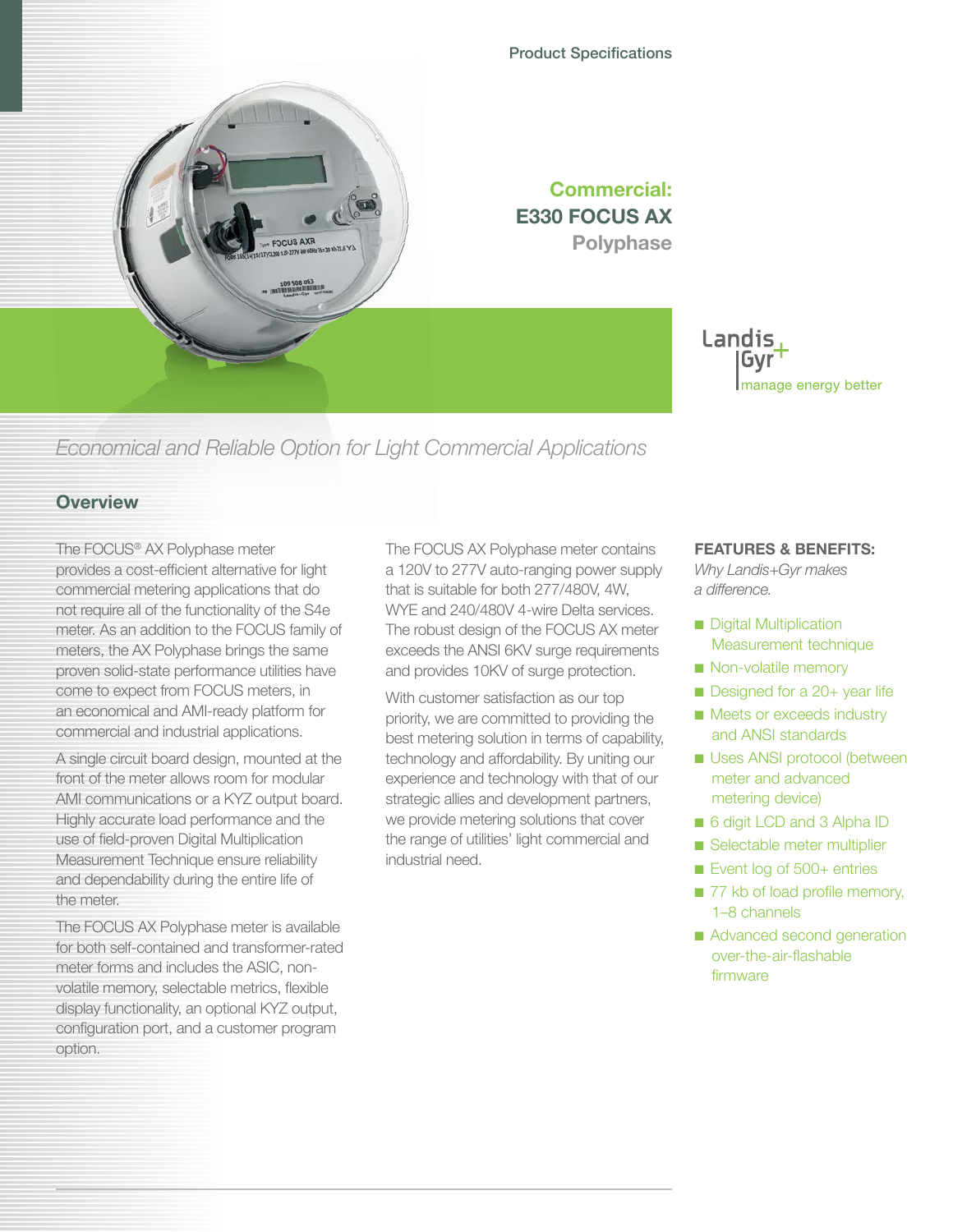## Product Specifications





*Economical and Reliable Option for Light Commercial Applications*

## **Overview**

The FOCUS® AX Polyphase meter provides a cost-efficient alternative for light commercial metering applications that do not require all of the functionality of the S4e meter. As an addition to the FOCUS family of meters, the AX Polyphase brings the same proven solid-state performance utilities have come to expect from FOCUS meters, in an economical and AMI-ready platform for commercial and industrial applications.

A single circuit board design, mounted at the front of the meter allows room for modular AMI communications or a KYZ output board. Highly accurate load performance and the use of field-proven Digital Multiplication Measurement Technique ensure reliability and dependability during the entire life of the meter.

The FOCUS AX Polyphase meter is available for both self-contained and transformer-rated meter forms and includes the ASIC, nonvolatile memory, selectable metrics, flexible display functionality, an optional KYZ output, configuration port, and a customer program option.

The FOCUS AX Polyphase meter contains a 120V to 277V auto-ranging power supply that is suitable for both 277/480V, 4W, WYE and 240/480V 4-wire Delta services. The robust design of the FOCUS AX meter exceeds the ANSI 6KV surge requirements and provides 10KV of surge protection.

With customer satisfaction as our top priority, we are committed to providing the best metering solution in terms of capability, technology and affordability. By uniting our experience and technology with that of our strategic allies and development partners, we provide metering solutions that cover the range of utilities' light commercial and industrial need.

## **FEATURES & BENEFITS:**

*Why Landis+Gyr makes a difference.*

- Digital Multiplication Measurement technique
- Non-volatile memory
- Designed for a 20+ year life
- Meets or exceeds industry and ANSI standards
- Uses ANSI protocol (between meter and advanced metering device)
- 6 digit LCD and 3 Alpha ID
- Selectable meter multiplier
- Event log of 500+ entries
- 77 kb of load profile memory, 1–8 channels
- Advanced second generation over-the-air-flashable firmware